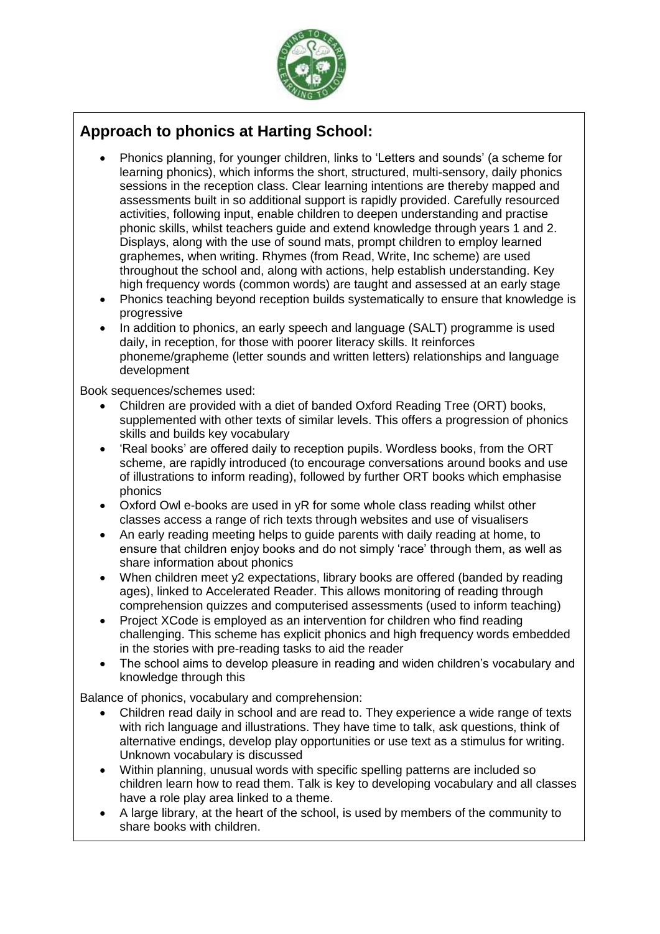

## **Approach to phonics at Harting School:**

- Phonics planning, for younger children, links to 'Letters and sounds' (a scheme for learning phonics), which informs the short, structured, multi-sensory, daily phonics sessions in the reception class. Clear learning intentions are thereby mapped and assessments built in so additional support is rapidly provided. Carefully resourced activities, following input, enable children to deepen understanding and practise phonic skills, whilst teachers guide and extend knowledge through years 1 and 2. Displays, along with the use of sound mats, prompt children to employ learned graphemes, when writing. Rhymes (from Read, Write, Inc scheme) are used throughout the school and, along with actions, help establish understanding. Key high frequency words (common words) are taught and assessed at an early stage
- Phonics teaching beyond reception builds systematically to ensure that knowledge is progressive
- In addition to phonics, an early speech and language (SALT) programme is used daily, in reception, for those with poorer literacy skills. It reinforces phoneme/grapheme (letter sounds and written letters) relationships and language development

Book sequences/schemes used:

- Children are provided with a diet of banded Oxford Reading Tree (ORT) books, supplemented with other texts of similar levels. This offers a progression of phonics skills and builds key vocabulary
- 'Real books' are offered daily to reception pupils. Wordless books, from the ORT scheme, are rapidly introduced (to encourage conversations around books and use of illustrations to inform reading), followed by further ORT books which emphasise phonics
- Oxford Owl e-books are used in yR for some whole class reading whilst other classes access a range of rich texts through websites and use of visualisers
- An early reading meeting helps to guide parents with daily reading at home, to ensure that children enjoy books and do not simply 'race' through them, as well as share information about phonics
- When children meet y2 expectations, library books are offered (banded by reading ages), linked to Accelerated Reader. This allows monitoring of reading through comprehension quizzes and computerised assessments (used to inform teaching)
- Project XCode is employed as an intervention for children who find reading challenging. This scheme has explicit phonics and high frequency words embedded in the stories with pre-reading tasks to aid the reader
- The school aims to develop pleasure in reading and widen children's vocabulary and knowledge through this

Balance of phonics, vocabulary and comprehension:

- Children read daily in school and are read to. They experience a wide range of texts with rich language and illustrations. They have time to talk, ask questions, think of alternative endings, develop play opportunities or use text as a stimulus for writing. Unknown vocabulary is discussed
- Within planning, unusual words with specific spelling patterns are included so children learn how to read them. Talk is key to developing vocabulary and all classes have a role play area linked to a theme.
- A large library, at the heart of the school, is used by members of the community to share books with children.